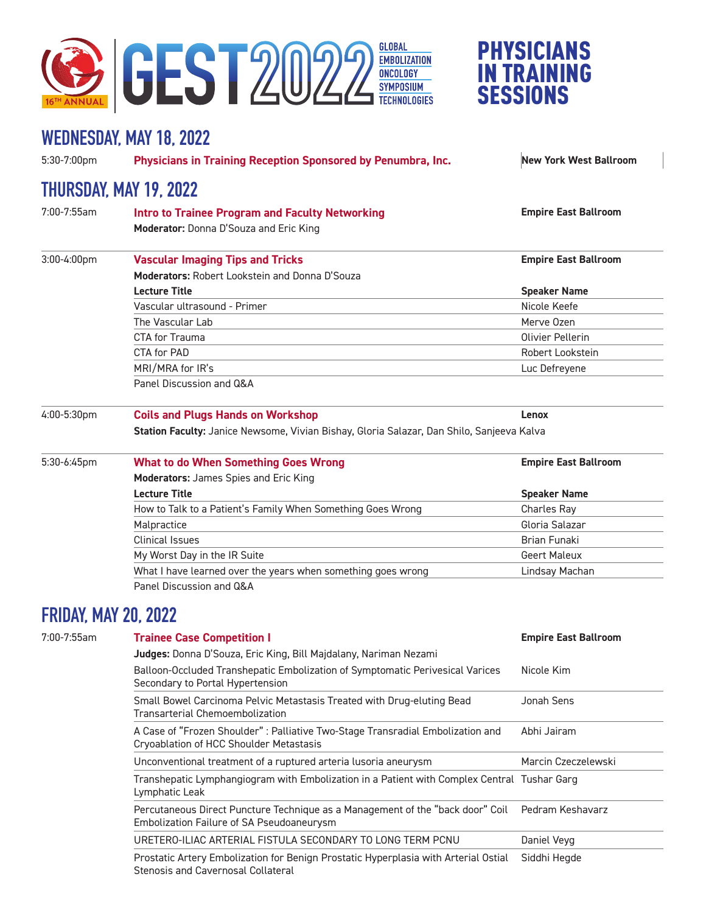

## PHYSICIANS IN TRAINING **SESSIONS**

## **WEDNESDAY, MAY 18, 2022**

5:30-7:00pm **Physicians in Training Reception Sponsored by Penumbra, Inc. New York West Ballroom**

## **THURSDAY, MAY 19, 2022**

| 7:00-7:55am    | <b>Intro to Trainee Program and Faculty Networking</b>                                    | <b>Empire East Ballroom</b> |  |
|----------------|-------------------------------------------------------------------------------------------|-----------------------------|--|
|                | <b>Moderator:</b> Donna D'Souza and Eric King                                             |                             |  |
| $3:00-4:00$ pm | <b>Vascular Imaging Tips and Tricks</b>                                                   | <b>Empire East Ballroom</b> |  |
|                | <b>Moderators:</b> Robert Lookstein and Donna D'Souza                                     |                             |  |
|                | <b>Lecture Title</b>                                                                      | <b>Speaker Name</b>         |  |
|                | Vascular ultrasound - Primer                                                              | Nicole Keefe                |  |
|                | The Vascular Lab                                                                          | Merve Ozen                  |  |
|                | CTA for Trauma                                                                            | Olivier Pellerin            |  |
|                | CTA for PAD                                                                               | Robert Lookstein            |  |
|                | MRI/MRA for IR's                                                                          | Luc Defreyene               |  |
|                | Panel Discussion and Q&A                                                                  |                             |  |
| 4:00-5:30pm    | <b>Coils and Plugs Hands on Workshop</b>                                                  | Lenox                       |  |
|                | Station Faculty: Janice Newsome, Vivian Bishay, Gloria Salazar, Dan Shilo, Sanjeeva Kalva |                             |  |

| 5:30-6:45pm | <b>What to do When Something Goes Wrong</b>                  | <b>Empire East Ballroom</b> |  |
|-------------|--------------------------------------------------------------|-----------------------------|--|
|             | <b>Moderators:</b> James Spies and Eric King                 |                             |  |
|             | <b>Lecture Title</b>                                         | <b>Speaker Name</b>         |  |
|             | How to Talk to a Patient's Family When Something Goes Wrong  | Charles Ray                 |  |
|             | Malpractice                                                  | Gloria Salazar              |  |
|             | <b>Clinical Issues</b>                                       | Brian Funaki                |  |
|             | My Worst Day in the IR Suite                                 | <b>Geert Maleux</b>         |  |
|             | What I have learned over the years when something goes wrong | Lindsay Machan              |  |
|             | Panel Discussion and Q&A                                     |                             |  |

## **FRIDAY, MAY 20, 2022**

| 7:00-7:55am | <b>Trainee Case Competition I</b>                                                                                                | <b>Empire East Ballroom</b> |
|-------------|----------------------------------------------------------------------------------------------------------------------------------|-----------------------------|
|             | Judges: Donna D'Souza, Eric King, Bill Majdalany, Nariman Nezami                                                                 |                             |
|             | Balloon-Occluded Transhepatic Embolization of Symptomatic Perivesical Varices<br>Secondary to Portal Hypertension                | Nicole Kim                  |
|             | Small Bowel Carcinoma Pelvic Metastasis Treated with Drug-eluting Bead<br>Transarterial Chemoembolization                        | Jonah Sens                  |
|             | A Case of "Frozen Shoulder": Palliative Two-Stage Transradial Embolization and<br>Cryoablation of HCC Shoulder Metastasis        | Abhi Jairam                 |
|             | Unconventional treatment of a ruptured arteria lusoria aneurysm                                                                  | Marcin Czeczelewski         |
|             | Transhepatic Lymphangiogram with Embolization in a Patient with Complex Central Tushar Garg<br>Lymphatic Leak                    |                             |
|             | Percutaneous Direct Puncture Technique as a Management of the "back door" Coil<br>Embolization Failure of SA Pseudoaneurysm      | Pedram Keshavarz            |
|             | URETERO-ILIAC ARTERIAL FISTULA SECONDARY TO LONG TERM PCNU                                                                       | Daniel Veyg                 |
|             | Prostatic Artery Embolization for Benign Prostatic Hyperplasia with Arterial Ostial<br><b>Stenosis and Cavernosal Collateral</b> | Siddhi Hegde                |